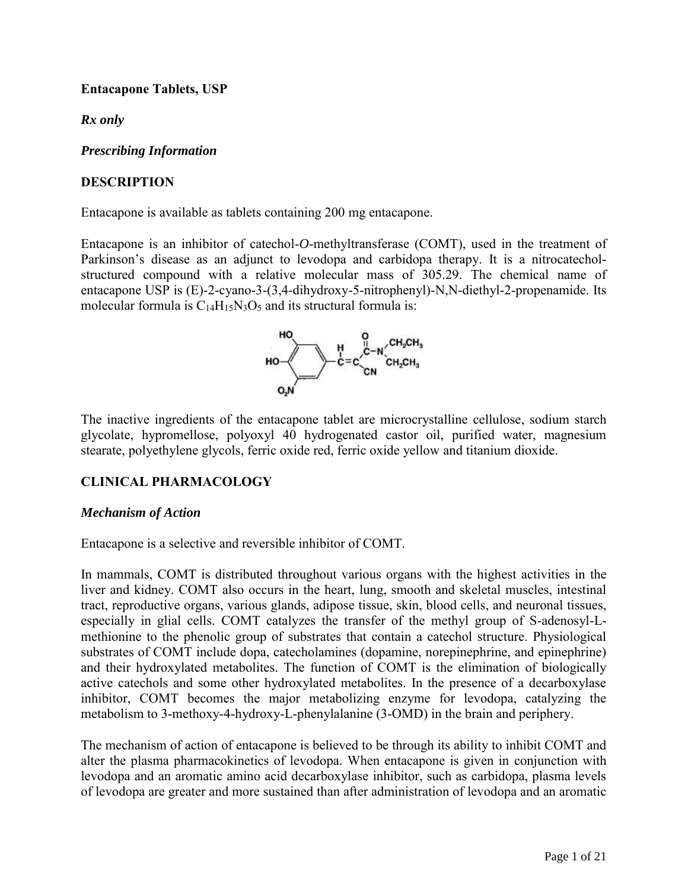# <span id="page-0-2"></span><span id="page-0-1"></span>**Entacapone Tablets, USP**

*Rx only* 

*Prescribing Information*

# **DESCRIPTION**

Entacapone is available as tablets containing 200 mg entacapone.

Entacapone is an inhibitor of catechol-*O*-methyltransferase (COMT), used in the treatment of Parkinson's disease as an adjunct to levodopa and carbidopa therapy. It is a nitrocatecholstructured compound with a relative molecular mass of 305.29. The chemical name of entacapone USP is (E)-2-cyano-3-(3,4-dihydroxy-5-nitrophenyl)-N,N-diethyl-2-propenamide. Its molecular formula is  $C_{14}H_{15}N_3O_5$  and its structural formula is:

<span id="page-0-0"></span>

The inactive ingredients of the entacapone tablet are microcrystalline cellulose, sodium starch glycolate, hypromellose, polyoxyl 40 hydrogenated castor oil, purified water, magnesium stearate, polyethylene glycols, ferric oxide red, ferric oxide yellow and titanium dioxide.

# **CLINICAL PHARMACOLOGY**

# *Mechanism of Action*

Entacapone is a selective and reversible inhibitor of COMT.

In mammals, COMT is distributed throughout various organs with the highest activities in the liver and kidney. COMT also occurs in the heart, lung, smooth and skeletal muscles, intestinal tract, reproductive organs, various glands, adipose tissue, skin, blood cells, and neuronal tissues, especially in glial cells. COMT catalyzes the transfer of the methyl group of S-adenosyl-Lmethionine to the phenolic group of substrates that contain a catechol structure. Physiological substrates of COMT include dopa, catecholamines (dopamine, norepinephrine, and epinephrine) and their hydroxylated metabolites. The function of COMT is the elimination of biologically active catechols and some other hydroxylated metabolites. In the presence of a decarboxylase inhibitor, COMT becomes the major metabolizing enzyme for levodopa, catalyzing the metabolism to 3-methoxy-4-hydroxy-L-phenylalanine (3-OMD) in the brain and periphery.

The mechanism of action of entacapone is believed to be through its ability to inhibit COMT and alter the plasma pharmacokinetics of levodopa. When entacapone is given in conjunction with levodopa and an aromatic amino acid decarboxylase inhibitor, such as carbidopa, plasma levels of levodopa are greater and more sustained than after administration of levodopa and an aromatic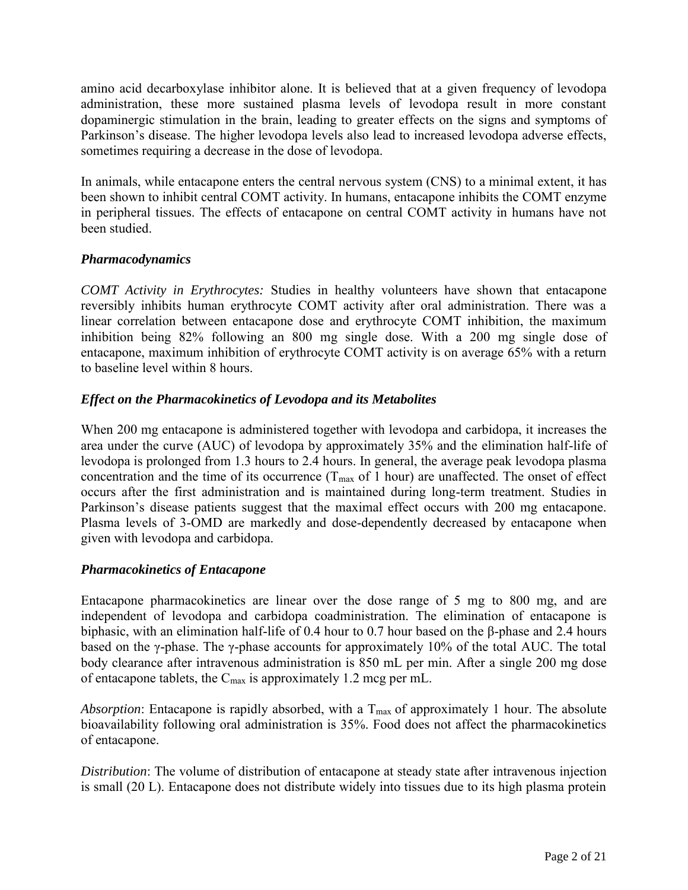<span id="page-1-1"></span><span id="page-1-0"></span>amino acid decarboxylase inhibitor alone. It is believed that at a given frequency of levodopa administration, these more sustained plasma levels of levodopa result in more constant dopaminergic stimulation in the brain, leading to greater effects on the signs and symptoms of Parkinson's disease. The higher levodopa levels also lead to increased levodopa adverse effects, sometimes requiring a decrease in the dose of levodopa.

In animals, while entacapone enters the central nervous system (CNS) to a minimal extent, it has been shown to inhibit central COMT activity. In humans, entacapone inhibits the COMT enzyme in peripheral tissues. The effects of entacapone on central COMT activity in humans have not been studied.

# *Pharmacodynamics*

*COMT Activity in Erythrocytes:* Studies in healthy volunteers have shown that entacapone reversibly inhibits human erythrocyte COMT activity after oral administration. There was a linear correlation between entacapone dose and erythrocyte COMT inhibition, the maximum inhibition being 82% following an 800 mg single dose. With a 200 mg single dose of entacapone, maximum inhibition of erythrocyte COMT activity is on average 65% with a return to baseline level within 8 hours.

# *Effect on the Pharmacokinetics of Levodopa and its Metabolites*

When 200 mg entacapone is administered together with levodopa and carbidopa, it increases the area under the curve (AUC) of levodopa by approximately 35% and the elimination half-life of levodopa is prolonged from 1.3 hours to 2.4 hours. In general, the average peak levodopa plasma concentration and the time of its occurrence  $(T_{\text{max}}$  of 1 hour) are unaffected. The onset of effect occurs after the first administration and is maintained during long-term treatment. Studies in Parkinson's disease patients suggest that the maximal effect occurs with 200 mg entacapone. Plasma levels of 3-OMD are markedly and dose-dependently decreased by entacapone when given with levodopa and carbidopa.

# *Pharmacokinetics of Entacapone*

Entacapone pharmacokinetics are linear over the dose range of 5 mg to 800 mg, and are independent of levodopa and carbidopa coadministration. The elimination of entacapone is biphasic, with an elimination half-life of 0.4 hour to 0.7 hour based on the β-phase and 2.4 hours based on the γ-phase. The γ-phase accounts for approximately 10% of the total AUC. The total body clearance after intravenous administration is 850 mL per min. After a single 200 mg dose of entacapone tablets, the  $C_{\text{max}}$  is approximately 1.2 mcg per mL.

*Absorption*: Entacapone is rapidly absorbed, with a  $T_{\text{max}}$  of approximately 1 hour. The absolute bioavailability following oral administration is 35%. Food does not affect the pharmacokinetics of entacapone.

*Distribution*: The volume of distribution of entacapone at steady state after intravenous injection is small (20 L). Entacapone does not distribute widely into tissues due to its high plasma protein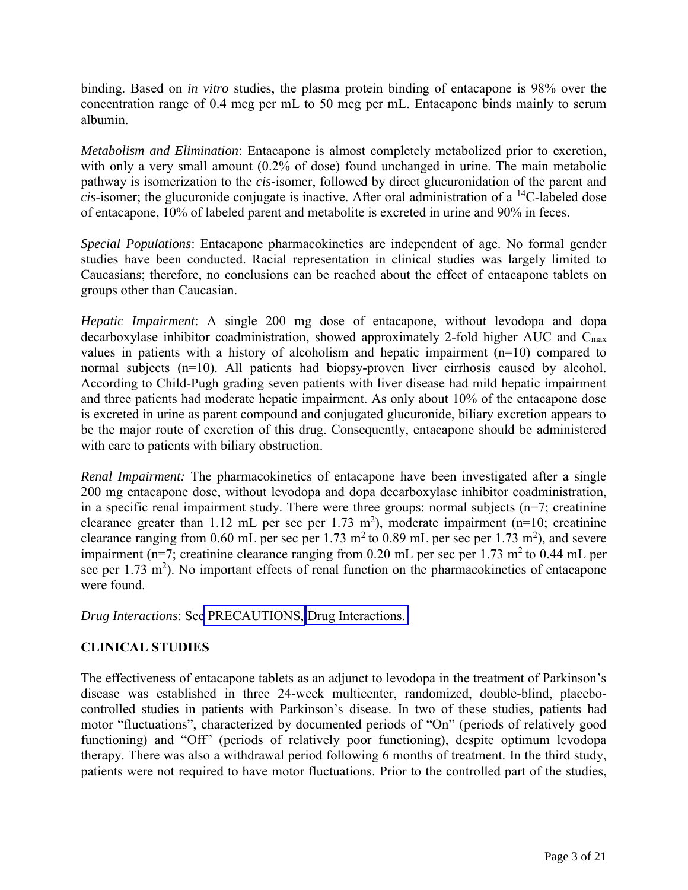<span id="page-2-1"></span><span id="page-2-0"></span>binding. Based on *in vitro* studies, the plasma protein binding of entacapone is 98% over the concentration range of 0.4 mcg per mL to 50 mcg per mL. Entacapone binds mainly to serum albumin.

*Metabolism and Elimination*: Entacapone is almost completely metabolized prior to excretion, with only a very small amount (0.2% of dose) found unchanged in urine. The main metabolic pathway is isomerization to the *cis*-isomer, followed by direct glucuronidation of the parent and *cis*-isomer; the glucuronide conjugate is inactive. After oral administration of a  $^{14}$ C-labeled dose of entacapone, 10% of labeled parent and metabolite is excreted in urine and 90% in feces.

*Special Populations*: Entacapone pharmacokinetics are independent of age. No formal gender studies have been conducted. Racial representation in clinical studies was largely limited to Caucasians; therefore, no conclusions can be reached about the effect of entacapone tablets on groups other than Caucasian.

*Hepatic Impairment*: A single 200 mg dose of entacapone, without levodopa and dopa decarboxylase inhibitor coadministration, showed approximately 2-fold higher AUC and Cmax values in patients with a history of alcoholism and hepatic impairment  $(n=10)$  compared to normal subjects (n=10). All patients had biopsy-proven liver cirrhosis caused by alcohol. According to Child-Pugh grading seven patients with liver disease had mild hepatic impairment and three patients had moderate hepatic impairment. As only about 10% of the entacapone dose is excreted in urine as parent compound and conjugated glucuronide, biliary excretion appears to be the major route of excretion of this drug. Consequently, entacapone should be administered with care to patients with biliary obstruction.

*Renal Impairment:* The pharmacokinetics of entacapone have been investigated after a single 200 mg entacapone dose, without levodopa and dopa decarboxylase inhibitor coadministration, in a specific renal impairment study. There were three groups: normal subjects  $(n=7;$  creatinine clearance greater than 1.12 mL per sec per 1.73 m<sup>2</sup>), moderate impairment (n=10; creatinine clearance ranging from 0.60 mL per sec per 1.73 m<sup>2</sup> to 0.89 mL per sec per 1.73 m<sup>2</sup>), and severe impairment (n=7; creatinine clearance ranging from  $0.20$  mL per sec per 1.73 m<sup>2</sup> to 0.44 mL per sec per  $1.73 \text{ m}^2$ ). No important effects of renal function on the pharmacokinetics of entacapone were found.

*Drug Interactions*: See [PRECAUTIONS,](#page-8-0) [Drug Interactions.](#page-13-0) 

# **CLINICAL STUDIES**

The effectiveness of entacapone tablets as an adjunct to levodopa in the treatment of Parkinson's disease was established in three 24-week multicenter, randomized, double-blind, placebocontrolled studies in patients with Parkinson's disease. In two of these studies, patients had motor "fluctuations", characterized by documented periods of "On" (periods of relatively good functioning) and "Off" (periods of relatively poor functioning), despite optimum levodopa therapy. There was also a withdrawal period following 6 months of treatment. In the third study, patients were not required to have motor fluctuations. Prior to the controlled part of the studies,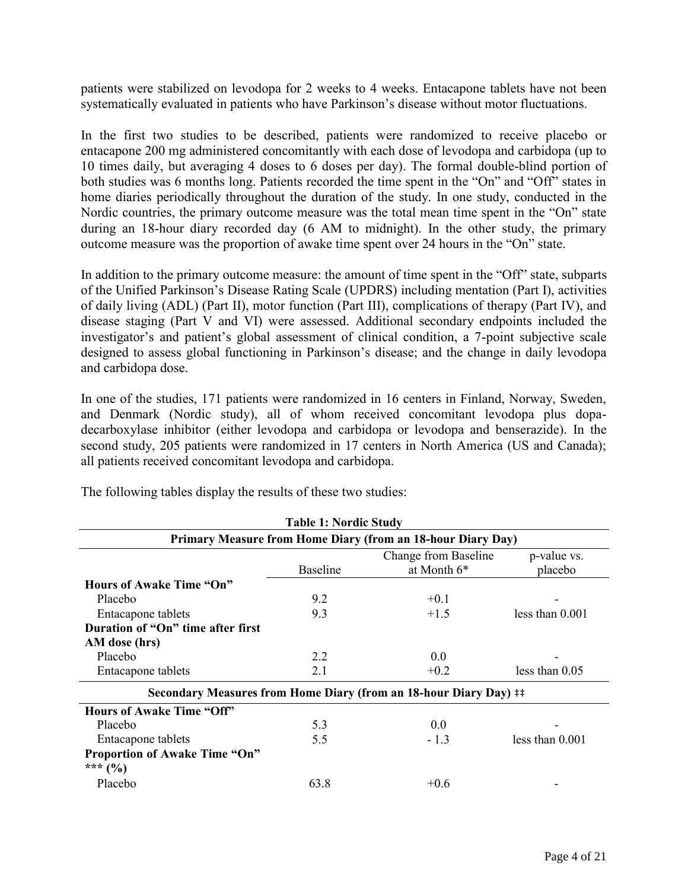patients were stabilized on levodopa for 2 weeks to 4 weeks. Entacapone tablets have not been systematically evaluated in patients who have Parkinson's disease without motor fluctuations.

In the first two studies to be described, patients were randomized to receive placebo or entacapone 200 mg administered concomitantly with each dose of levodopa and carbidopa (up to 10 times daily, but averaging 4 doses to 6 doses per day). The formal double-blind portion of both studies was 6 months long. Patients recorded the time spent in the "On" and "Off" states in home diaries periodically throughout the duration of the study. In one study, conducted in the Nordic countries, the primary outcome measure was the total mean time spent in the "On" state during an 18-hour diary recorded day (6 AM to midnight). In the other study, the primary outcome measure was the proportion of awake time spent over 24 hours in the "On" state.

In addition to the primary outcome measure: the amount of time spent in the "Off" state, subparts of the Unified Parkinson's Disease Rating Scale (UPDRS) including mentation (Part I), activities of daily living (ADL) (Part II), motor function (Part III), complications of therapy (Part IV), and disease staging (Part V and VI) were assessed. Additional secondary endpoints included the investigator's and patient's global assessment of clinical condition, a 7-point subjective scale designed to assess global functioning in Parkinson's disease; and the change in daily levodopa and carbidopa dose.

In one of the studies, 171 patients were randomized in 16 centers in Finland, Norway, Sweden, and Denmark (Nordic study), all of whom received concomitant levodopa plus dopadecarboxylase inhibitor (either levodopa and carbidopa or levodopa and benserazide). In the second study, 205 patients were randomized in 17 centers in North America (US and Canada); all patients received concomitant levodopa and carbidopa.

| <b>Table 1: Nordic Study</b><br>Primary Measure from Home Diary (from an 18-hour Diary Day) |      |                                                                   |                   |
|---------------------------------------------------------------------------------------------|------|-------------------------------------------------------------------|-------------------|
|                                                                                             |      |                                                                   |                   |
| <b>Hours of Awake Time "On"</b>                                                             |      |                                                                   |                   |
| Placebo                                                                                     | 9.2  | $+0.1$                                                            |                   |
| Entacapone tablets                                                                          | 9.3  | $+1.5$                                                            | less than 0.001   |
| Duration of "On" time after first                                                           |      |                                                                   |                   |
| AM dose (hrs)                                                                               |      |                                                                   |                   |
| Placebo                                                                                     | 2.2  | 0.0                                                               |                   |
| Entacapone tablets                                                                          | 2.1  | $+0.2$                                                            | less than $0.05$  |
|                                                                                             |      | Secondary Measures from Home Diary (from an 18-hour Diary Day) ## |                   |
| <b>Hours of Awake Time "Off"</b>                                                            |      |                                                                   |                   |
| Placebo                                                                                     | 5.3  | 0.0                                                               |                   |
| Entacapone tablets                                                                          | 5.5  | $-1.3$                                                            | less than $0.001$ |
| <b>Proportion of Awake Time "On"</b>                                                        |      |                                                                   |                   |
| *** $(%)$                                                                                   |      |                                                                   |                   |
| Placebo                                                                                     | 63.8 | $+0.6$                                                            |                   |

The following tables display the results of these two studies: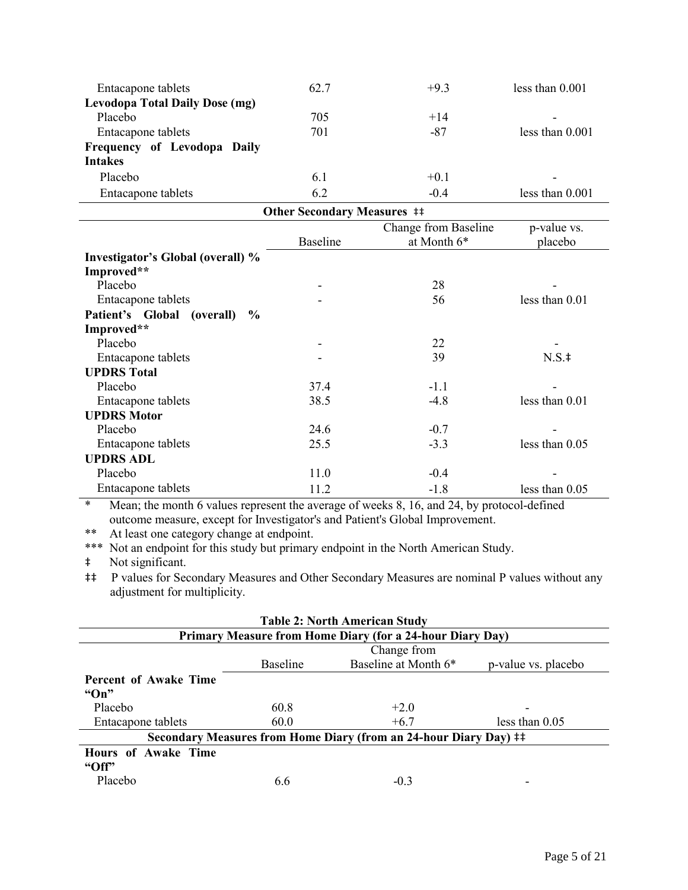| Entacapone tablets                                                                   | 62.7 | $+9.3$ | less than $0.001$ |  |
|--------------------------------------------------------------------------------------|------|--------|-------------------|--|
| <b>Levodopa Total Daily Dose (mg)</b>                                                |      |        |                   |  |
| Placebo                                                                              | 705  | $+14$  |                   |  |
| Entacapone tablets                                                                   | 701  | -87    | less than $0.001$ |  |
| Frequency of Levodopa Daily                                                          |      |        |                   |  |
| <b>Intakes</b>                                                                       |      |        |                   |  |
| Placebo                                                                              | 6.1  | $+0.1$ | -                 |  |
| Entacapone tablets                                                                   | 6.2  | $-0.4$ | less than $0.001$ |  |
| $\Omega_{\rm th}$ , $\Omega_{\rm t}$ , $\Gamma_{\rm t}$ , $\mathbf{M}_{\rm t}$ , , , |      |        |                   |  |

| <b>Other Secondary Measures ##</b>    |                 |                      |                |  |
|---------------------------------------|-----------------|----------------------|----------------|--|
|                                       |                 | Change from Baseline | p-value vs.    |  |
|                                       | <b>Baseline</b> | at Month 6*          | placebo        |  |
| Investigator's Global (overall) %     |                 |                      |                |  |
| Improved**                            |                 |                      |                |  |
| Placebo                               |                 | 28                   |                |  |
| Entacapone tablets                    |                 | 56                   | less than 0.01 |  |
| Patient's Global<br>(overall)<br>$\%$ |                 |                      |                |  |
| Improved**                            |                 |                      |                |  |
| Placebo                               |                 | 22                   |                |  |
| Entacapone tablets                    |                 | 39                   | $N.S.$ ‡       |  |
| <b>UPDRS</b> Total                    |                 |                      |                |  |
| Placebo                               | 37.4            | $-1.1$               |                |  |
| Entacapone tablets                    | 38.5            | $-4.8$               | less than 0.01 |  |
| <b>UPDRS Motor</b>                    |                 |                      |                |  |
| Placebo                               | 24.6            | $-0.7$               |                |  |
| Entacapone tablets                    | 25.5            | $-3.3$               | less than 0.05 |  |
| <b>UPDRS ADL</b>                      |                 |                      |                |  |
| Placebo                               | 11.0            | $-0.4$               |                |  |
| Entacapone tablets                    | 11.2            | $-1.8$               | less than 0.05 |  |

\* Mean; the month 6 values represent the average of weeks 8, 16, and 24, by protocol-defined outcome measure, except for Investigator's and Patient's Global Improvement.

\*\* At least one category change at endpoint.

\*\*\* Not an endpoint for this study but primary endpoint in the North American Study.

‡ Not significant.

‡‡ P values for Secondary Measures and Other Secondary Measures are nominal P values without any adjustment for multiplicity.

| <b>Table 2: North American Study</b>                              |                 |                      |                     |  |
|-------------------------------------------------------------------|-----------------|----------------------|---------------------|--|
| Primary Measure from Home Diary (for a 24-hour Diary Day)         |                 |                      |                     |  |
|                                                                   | Change from     |                      |                     |  |
|                                                                   | <b>Baseline</b> | Baseline at Month 6* | p-value vs. placebo |  |
| <b>Percent of Awake Time</b>                                      |                 |                      |                     |  |
| " $On"$                                                           |                 |                      |                     |  |
| Placebo                                                           | 60.8            | $+2.0$               |                     |  |
| Entacapone tablets                                                | 60.0            | $+6.7$               | less than $0.05$    |  |
| Secondary Measures from Home Diary (from an 24-hour Diary Day) ## |                 |                      |                     |  |
| <b>Hours of Awake Time</b>                                        |                 |                      |                     |  |
| " $Off"$                                                          |                 |                      |                     |  |
| Placebo                                                           | 6.6             | $-0.3$               |                     |  |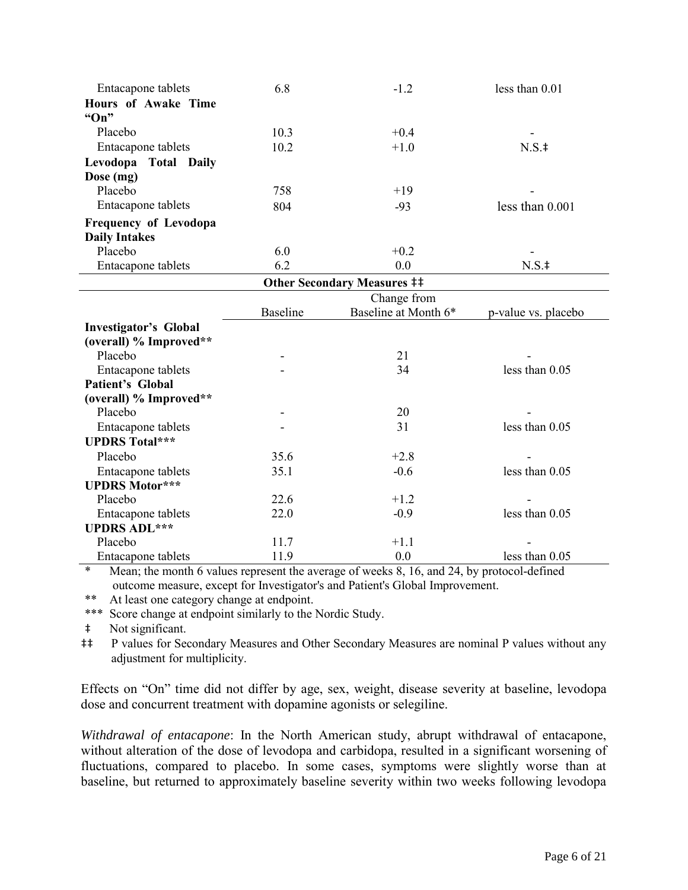| Entacapone tablets           | 6.8             | $-1.2$                             | less than 0.01      |
|------------------------------|-----------------|------------------------------------|---------------------|
| <b>Hours of Awake Time</b>   |                 |                                    |                     |
| " $On"$                      |                 |                                    |                     |
| Placebo                      | 10.3            | $+0.4$                             |                     |
| Entacapone tablets           | 10.2            | $+1.0$                             | $N.S.$ ‡            |
| Levodopa Total Daily         |                 |                                    |                     |
| Dose (mg)                    |                 |                                    |                     |
| Placebo                      | 758             | $+19$                              |                     |
| Entacapone tablets           | 804             | $-93$                              | less than $0.001$   |
| <b>Frequency of Levodopa</b> |                 |                                    |                     |
| <b>Daily Intakes</b>         |                 |                                    |                     |
| Placebo                      | 6.0             | $+0.2$                             |                     |
| Entacapone tablets           | 6.2             | 0.0                                | $N.S.$ ‡            |
|                              |                 | <b>Other Secondary Measures ##</b> |                     |
|                              |                 | Change from                        |                     |
|                              | <b>Baseline</b> | Baseline at Month 6*               | p-value vs. placebo |
| <b>Investigator's Global</b> |                 |                                    |                     |
| (overall) % Improved**       |                 |                                    |                     |
| Placebo                      |                 | 21                                 |                     |
| Entacapone tablets           |                 | 34                                 | less than 0.05      |
| Patient's Global             |                 |                                    |                     |
| (overall) % Improved**       |                 |                                    |                     |
| Placebo                      |                 | 20                                 |                     |
| Entacapone tablets           |                 | 31                                 | less than 0.05      |
| <b>UPDRS Total***</b>        |                 |                                    |                     |
| Placebo                      | 35.6            | $+2.8$                             |                     |
| Entacapone tablets           | 35.1            | $-0.6$                             | less than 0.05      |
| <b>UPDRS Motor***</b>        |                 |                                    |                     |
| Placebo                      | 22.6            | $+1.2$                             |                     |
| Entacapone tablets           | 22.0            | $-0.9$                             | less than $0.05$    |
| <b>UPDRS ADL***</b>          |                 |                                    |                     |
| Placebo                      | 11.7            | $+1.1$                             |                     |
| Entacapone tablets           | 11.9            | 0.0                                | less than 0.05      |

\* Mean; the month 6 values represent the average of weeks 8, 16, and 24, by protocol-defined outcome measure, except for Investigator's and Patient's Global Improvement.

At least one category change at endpoint.

\*\*\* Score change at endpoint similarly to the Nordic Study.

‡ Not significant.

‡‡ P values for Secondary Measures and Other Secondary Measures are nominal P values without any adjustment for multiplicity.

Effects on "On" time did not differ by age, sex, weight, disease severity at baseline, levodopa dose and concurrent treatment with dopamine agonists or selegiline.

*Withdrawal of entacapone*: In the North American study, abrupt withdrawal of entacapone, without alteration of the dose of levodopa and carbidopa, resulted in a significant worsening of fluctuations, compared to placebo. In some cases, symptoms were slightly worse than at baseline, but returned to approximately baseline severity within two weeks following levodopa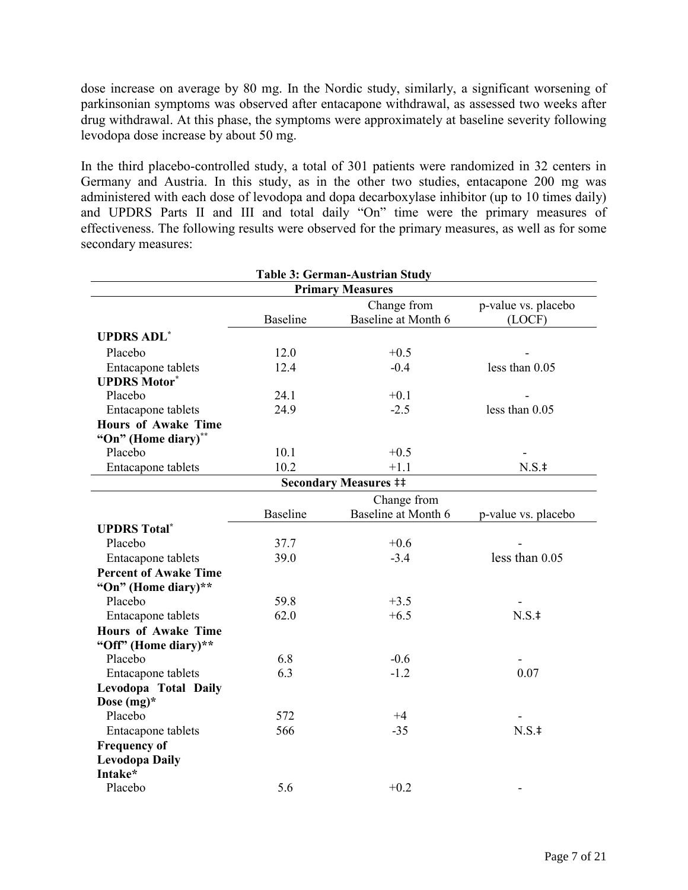dose increase on average by 80 mg. In the Nordic study, similarly, a significant worsening of parkinsonian symptoms was observed after entacapone withdrawal, as assessed two weeks after drug withdrawal. At this phase, the symptoms were approximately at baseline severity following levodopa dose increase by about 50 mg.

In the third placebo-controlled study, a total of 301 patients were randomized in 32 centers in Germany and Austria. In this study, as in the other two studies, entacapone 200 mg was administered with each dose of levodopa and dopa decarboxylase inhibitor (up to 10 times daily) and UPDRS Parts II and III and total daily "On" time were the primary measures of effectiveness. The following results were observed for the primary measures, as well as for some secondary measures:

| <b>Table 3: German-Austrian Study</b> |                 |                              |                     |  |
|---------------------------------------|-----------------|------------------------------|---------------------|--|
| <b>Primary Measures</b>               |                 |                              |                     |  |
|                                       |                 | Change from                  | p-value vs. placebo |  |
|                                       | <b>Baseline</b> | Baseline at Month 6          | (LOCF)              |  |
| <b>UPDRS ADL*</b>                     |                 |                              |                     |  |
| Placebo                               | 12.0            | $+0.5$                       |                     |  |
| Entacapone tablets                    | 12.4            | $-0.4$                       | less than 0.05      |  |
| <b>UPDRS Motor*</b>                   |                 |                              |                     |  |
| Placebo                               | 24.1            | $+0.1$                       |                     |  |
| Entacapone tablets                    | 24.9            | $-2.5$                       | less than $0.05$    |  |
| <b>Hours of Awake Time</b>            |                 |                              |                     |  |
| "On" (Home diary)**                   |                 |                              |                     |  |
| Placebo                               | 10.1            | $+0.5$                       |                     |  |
| Entacapone tablets                    | 10.2            | $+1.1$                       | $N.S.$ ‡            |  |
|                                       |                 | <b>Secondary Measures ##</b> |                     |  |
|                                       |                 | Change from                  |                     |  |
|                                       | <b>Baseline</b> | Baseline at Month 6          | p-value vs. placebo |  |
| <b>UPDRS Total*</b>                   |                 |                              |                     |  |
| Placebo                               | 37.7            | $+0.6$                       |                     |  |
| Entacapone tablets                    | 39.0            | $-3.4$                       | less than 0.05      |  |
| <b>Percent of Awake Time</b>          |                 |                              |                     |  |
| "On" (Home diary)**                   |                 |                              |                     |  |
| Placebo                               | 59.8            | $+3.5$                       |                     |  |
| Entacapone tablets                    | 62.0            | $+6.5$                       | $N.S.$ ‡            |  |
| <b>Hours of Awake Time</b>            |                 |                              |                     |  |
| "Off" (Home diary)**                  |                 |                              |                     |  |
| Placebo                               | 6.8             | $-0.6$                       |                     |  |
| Entacapone tablets                    | 6.3             | $-1.2$                       | 0.07                |  |
| Levodopa Total Daily                  |                 |                              |                     |  |
| Dose $(mg)^*$                         |                 |                              |                     |  |
| Placebo                               | 572             | $+4$                         |                     |  |
| Entacapone tablets                    | 566             | $-35$                        | $N.S.$ ‡            |  |
| <b>Frequency of</b>                   |                 |                              |                     |  |
| <b>Levodopa Daily</b>                 |                 |                              |                     |  |
| Intake*                               |                 |                              |                     |  |
| Placebo                               | 5.6             | $+0.2$                       |                     |  |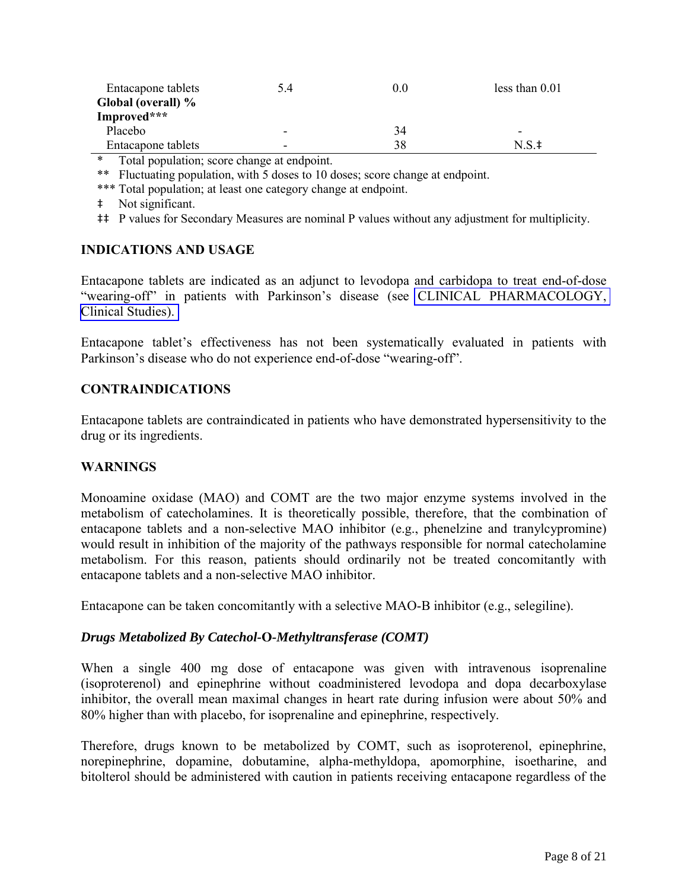<span id="page-7-1"></span><span id="page-7-0"></span>

| Entacapone tablets<br>Global (overall) % | 5.4                      | 0.0 | less than $0.01$ |
|------------------------------------------|--------------------------|-----|------------------|
| Improved***                              |                          |     |                  |
| Placebo                                  | -                        | 34  |                  |
| Entacapone tablets                       | $\overline{\phantom{0}}$ | 38  | N S ‡            |

Total population; score change at endpoint.

\*\* Fluctuating population, with 5 doses to 10 doses; score change at endpoint.

\*\*\* Total population; at least one category change at endpoint.

- ‡ Not significant.
- ‡‡ P values for Secondary Measures are nominal P values without any adjustment for multiplicity.

### **INDICATIONS AND USAGE**

Entacapone tablets are indicated as an adjunct to levodopa and carbidopa to treat end-of-dose "wearing-off" in patients with Parkinson's disease (see [CLINICAL PHARMACOLOGY,](#page-0-0)  [Clinical Studies\).](#page-2-0) 

Entacapone tablet's effectiveness has not been systematically evaluated in patients with Parkinson's disease who do not experience end-of-dose "wearing-off".

#### **CONTRAINDICATIONS**

Entacapone tablets are contraindicated in patients who have demonstrated hypersensitivity to the drug or its ingredients.

#### **WARNINGS**

Monoamine oxidase (MAO) and COMT are the two major enzyme systems involved in the metabolism of catecholamines. It is theoretically possible, therefore, that the combination of entacapone tablets and a non-selective MAO inhibitor (e.g., phenelzine and tranylcypromine) would result in inhibition of the majority of the pathways responsible for normal catecholamine metabolism. For this reason, patients should ordinarily not be treated concomitantly with entacapone tablets and a non-selective MAO inhibitor.

Entacapone can be taken concomitantly with a selective MAO-B inhibitor (e.g., selegiline).

#### *Drugs Metabolized By Catechol-***O***-Methyltransferase (COMT)*

When a single 400 mg dose of entacapone was given with intravenous isoprenaline (isoproterenol) and epinephrine without coadministered levodopa and dopa decarboxylase inhibitor, the overall mean maximal changes in heart rate during infusion were about 50% and 80% higher than with placebo, for isoprenaline and epinephrine, respectively.

Therefore, drugs known to be metabolized by COMT, such as isoproterenol, epinephrine, norepinephrine, dopamine, dobutamine, alpha-methyldopa, apomorphine, isoetharine, and bitolterol should be administered with caution in patients receiving entacapone regardless of the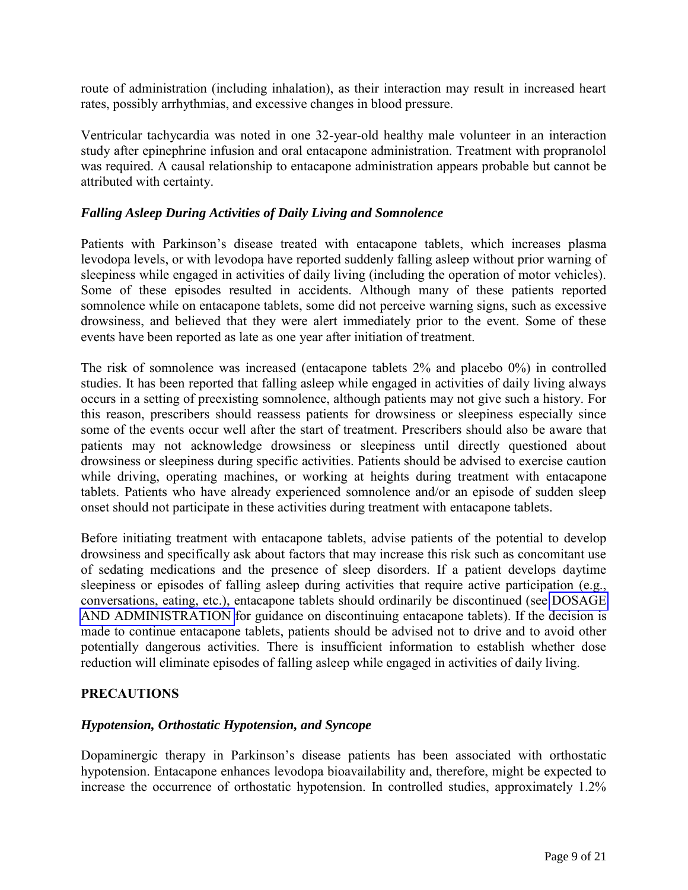<span id="page-8-2"></span><span id="page-8-1"></span><span id="page-8-0"></span>route of administration (including inhalation), as their interaction may result in increased heart rates, possibly arrhythmias, and excessive changes in blood pressure.

Ventricular tachycardia was noted in one 32-year-old healthy male volunteer in an interaction study after epinephrine infusion and oral entacapone administration. Treatment with propranolol was required. A causal relationship to entacapone administration appears probable but cannot be attributed with certainty.

### *Falling Asleep During Activities of Daily Living and Somnolence*

Patients with Parkinson's disease treated with entacapone tablets, which increases plasma levodopa levels, or with levodopa have reported suddenly falling asleep without prior warning of sleepiness while engaged in activities of daily living (including the operation of motor vehicles). Some of these episodes resulted in accidents. Although many of these patients reported somnolence while on entacapone tablets, some did not perceive warning signs, such as excessive drowsiness, and believed that they were alert immediately prior to the event. Some of these events have been reported as late as one year after initiation of treatment.

The risk of somnolence was increased (entacapone tablets 2% and placebo 0%) in controlled studies. It has been reported that falling asleep while engaged in activities of daily living always occurs in a setting of preexisting somnolence, although patients may not give such a history. For this reason, prescribers should reassess patients for drowsiness or sleepiness especially since some of the events occur well after the start of treatment. Prescribers should also be aware that patients may not acknowledge drowsiness or sleepiness until directly questioned about drowsiness or sleepiness during specific activities. Patients should be advised to exercise caution while driving, operating machines, or working at heights during treatment with entacapone tablets. Patients who have already experienced somnolence and/or an episode of sudden sleep onset should not participate in these activities during treatment with entacapone tablets.

Before initiating treatment with entacapone tablets, advise patients of the potential to develop drowsiness and specifically ask about factors that may increase this risk such as concomitant use of sedating medications and the presence of sleep disorders. If a patient develops daytime sleepiness or episodes of falling asleep during activities that require active participation (e.g., conversations, eating, etc.), entacapone tablets should ordinarily be discontinued (see [DOSAGE](#page-19-1)  [AND ADMINISTRATION](#page-19-0) for guidance on discontinuing entacapone tablets). If the decision is made to continue entacapone tablets, patients should be advised not to drive and to avoid other potentially dangerous activities. There is insufficient information to establish whether dose reduction will eliminate episodes of falling asleep while engaged in activities of daily living.

#### **PRECAUTIONS**

#### *Hypotension, Orthostatic Hypotension, and Syncope*

Dopaminergic therapy in Parkinson's disease patients has been associated with orthostatic hypotension. Entacapone enhances levodopa bioavailability and, therefore, might be expected to increase the occurrence of orthostatic hypotension. In controlled studies, approximately 1.2%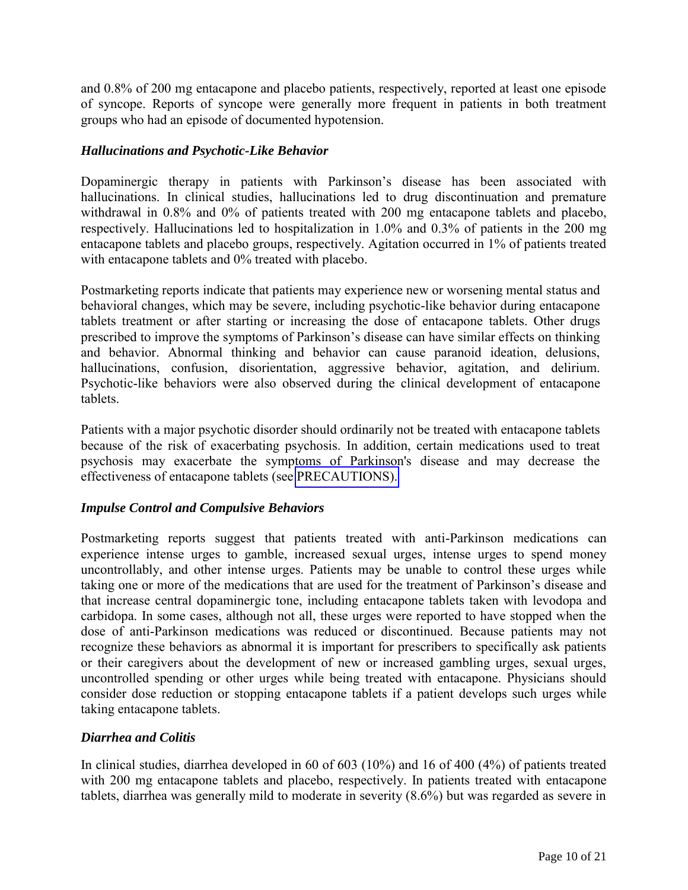and 0.8% of 200 mg entacapone and placebo patients, respectively, reported at least one episode of syncope. Reports of syncope were generally more frequent in patients in both treatment groups who had an episode of documented hypotension.

### *Hallucinations and Psychotic-Like Behavior*

Dopaminergic therapy in patients with Parkinson's disease has been associated with hallucinations. In clinical studies, hallucinations led to drug discontinuation and premature withdrawal in 0.8% and 0% of patients treated with 200 mg entacapone tablets and placebo, respectively. Hallucinations led to hospitalization in 1.0% and 0.3% of patients in the 200 mg entacapone tablets and placebo groups, respectively. Agitation occurred in 1% of patients treated with entacapone tablets and 0% treated with placebo.

Postmarketing reports indicate that patients may experience new or worsening mental status and behavioral changes, which may be severe, including psychotic-like behavior during entacapone tablets treatment or after starting or increasing the dose of entacapone tablets. Other drugs prescribed to improve the symptoms of Parkinson's disease can have similar effects on thinking and behavior. Abnormal thinking and behavior can cause paranoid ideation, delusions, hallucinations, confusion, disorientation, aggressive behavior, agitation, and delirium. Psychotic-like behaviors were also observed during the clinical development of entacapone tablets.

Patients with a major psychotic disorder should ordinarily not be treated with entacapone tablets because of the risk of exacerbating psychosis. In addition, certain medications used to treat psychosis may exacerbate the symptoms of Parkinson's disease and may decrease the effectiveness of entacapone tablets (see [PRECAUTIONS\).](#page-8-1) 

#### *Impulse Control and Compulsive Behaviors*

Postmarketing reports suggest that patients treated with anti-Parkinson medications can experience intense urges to gamble, increased sexual urges, intense urges to spend money uncontrollably, and other intense urges. Patients may be unable to control these urges while taking one or more of the medications that are used for the treatment of Parkinson's disease and that increase central dopaminergic tone, including entacapone tablets taken with levodopa and carbidopa. In some cases, although not all, these urges were reported to have stopped when the dose of anti-Parkinson medications was reduced or discontinued. Because patients may not recognize these behaviors as abnormal it is important for prescribers to specifically ask patients or their caregivers about the development of new or increased gambling urges, sexual urges, uncontrolled spending or other urges while being treated with entacapone. Physicians should consider dose reduction or stopping entacapone tablets if a patient develops such urges while taking entacapone tablets.

# *Diarrhea and Colitis*

In clinical studies, diarrhea developed in 60 of 603 (10%) and 16 of 400 (4%) of patients treated with 200 mg entacapone tablets and placebo, respectively. In patients treated with entacapone tablets, diarrhea was generally mild to moderate in severity (8.6%) but was regarded as severe in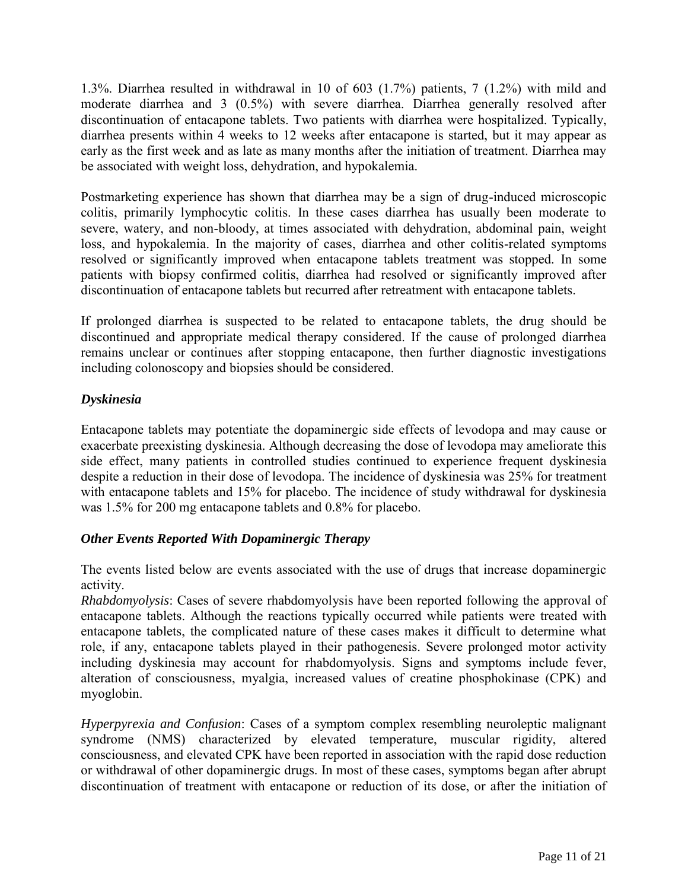<span id="page-10-0"></span>1.3%. Diarrhea resulted in withdrawal in 10 of 603 (1.7%) patients, 7 (1.2%) with mild and moderate diarrhea and 3 (0.5%) with severe diarrhea. Diarrhea generally resolved after discontinuation of entacapone tablets. Two patients with diarrhea were hospitalized. Typically, diarrhea presents within 4 weeks to 12 weeks after entacapone is started, but it may appear as early as the first week and as late as many months after the initiation of treatment. Diarrhea may be associated with weight loss, dehydration, and hypokalemia.

Postmarketing experience has shown that diarrhea may be a sign of drug-induced microscopic colitis, primarily lymphocytic colitis. In these cases diarrhea has usually been moderate to severe, watery, and non-bloody, at times associated with dehydration, abdominal pain, weight loss, and hypokalemia. In the majority of cases, diarrhea and other colitis-related symptoms resolved or significantly improved when entacapone tablets treatment was stopped. In some patients with biopsy confirmed colitis, diarrhea had resolved or significantly improved after discontinuation of entacapone tablets but recurred after retreatment with entacapone tablets.

If prolonged diarrhea is suspected to be related to entacapone tablets, the drug should be discontinued and appropriate medical therapy considered. If the cause of prolonged diarrhea remains unclear or continues after stopping entacapone, then further diagnostic investigations including colonoscopy and biopsies should be considered.

# *Dyskinesia*

Entacapone tablets may potentiate the dopaminergic side effects of levodopa and may cause or exacerbate preexisting dyskinesia. Although decreasing the dose of levodopa may ameliorate this side effect, many patients in controlled studies continued to experience frequent dyskinesia despite a reduction in their dose of levodopa. The incidence of dyskinesia was 25% for treatment with entacapone tablets and 15% for placebo. The incidence of study withdrawal for dyskinesia was 1.5% for 200 mg entacapone tablets and 0.8% for placebo.

# *Other Events Reported With Dopaminergic Therapy*

The events listed below are events associated with the use of drugs that increase dopaminergic activity.

*Rhabdomyolysis*: Cases of severe rhabdomyolysis have been reported following the approval of entacapone tablets. Although the reactions typically occurred while patients were treated with entacapone tablets, the complicated nature of these cases makes it difficult to determine what role, if any, entacapone tablets played in their pathogenesis. Severe prolonged motor activity including dyskinesia may account for rhabdomyolysis. Signs and symptoms include fever, alteration of consciousness, myalgia, increased values of creatine phosphokinase (CPK) and myoglobin.

*Hyperpyrexia and Confusion*: Cases of a symptom complex resembling neuroleptic malignant syndrome (NMS) characterized by elevated temperature, muscular rigidity, altered consciousness, and elevated CPK have been reported in association with the rapid dose reduction or withdrawal of other dopaminergic drugs. In most of these cases, symptoms began after abrupt discontinuation of treatment with entacapone or reduction of its dose, or after the initiation of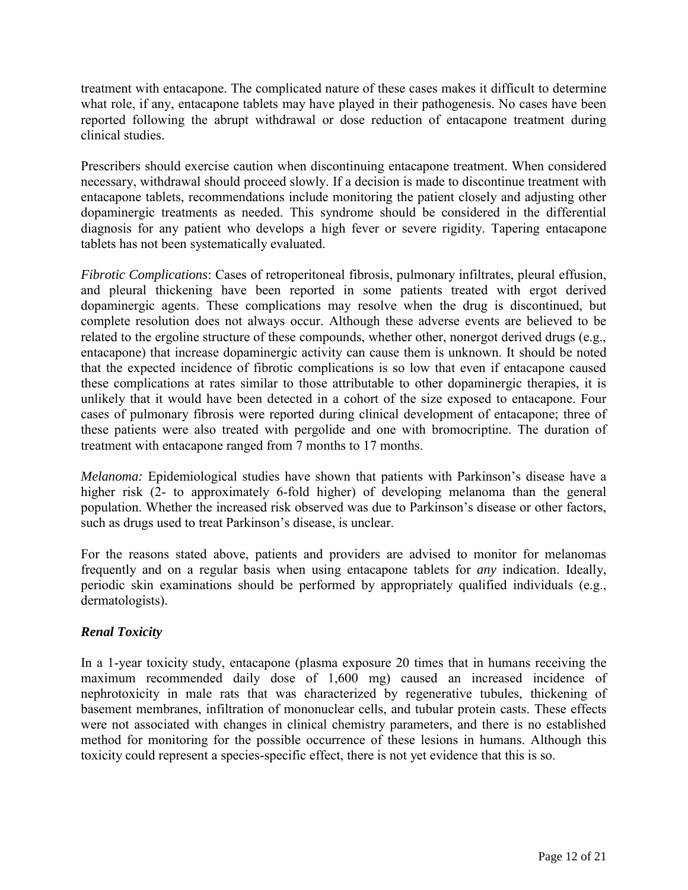treatment with entacapone. The complicated nature of these cases makes it difficult to determine what role, if any, entacapone tablets may have played in their pathogenesis. No cases have been reported following the abrupt withdrawal or dose reduction of entacapone treatment during clinical studies.

Prescribers should exercise caution when discontinuing entacapone treatment. When considered necessary, withdrawal should proceed slowly. If a decision is made to discontinue treatment with entacapone tablets, recommendations include monitoring the patient closely and adjusting other dopaminergic treatments as needed. This syndrome should be considered in the differential diagnosis for any patient who develops a high fever or severe rigidity. Tapering entacapone tablets has not been systematically evaluated.

*Fibrotic Complications*: Cases of retroperitoneal fibrosis, pulmonary infiltrates, pleural effusion, and pleural thickening have been reported in some patients treated with ergot derived dopaminergic agents. These complications may resolve when the drug is discontinued, but complete resolution does not always occur. Although these adverse events are believed to be related to the ergoline structure of these compounds, whether other, nonergot derived drugs (e.g., entacapone) that increase dopaminergic activity can cause them is unknown. It should be noted that the expected incidence of fibrotic complications is so low that even if entacapone caused these complications at rates similar to those attributable to other dopaminergic therapies, it is unlikely that it would have been detected in a cohort of the size exposed to entacapone. Four cases of pulmonary fibrosis were reported during clinical development of entacapone; three of these patients were also treated with pergolide and one with bromocriptine. The duration of treatment with entacapone ranged from 7 months to 17 months.

*Melanoma:* Epidemiological studies have shown that patients with Parkinson's disease have a higher risk (2- to approximately 6-fold higher) of developing melanoma than the general population. Whether the increased risk observed was due to Parkinson's disease or other factors, such as drugs used to treat Parkinson's disease, is unclear.

For the reasons stated above, patients and providers are advised to monitor for melanomas frequently and on a regular basis when using entacapone tablets for *any* indication. Ideally, periodic skin examinations should be performed by appropriately qualified individuals (e.g., dermatologists).

# *Renal Toxicity*

In a 1-year toxicity study, entacapone (plasma exposure 20 times that in humans receiving the maximum recommended daily dose of 1,600 mg) caused an increased incidence of nephrotoxicity in male rats that was characterized by regenerative tubules, thickening of basement membranes, infiltration of mononuclear cells, and tubular protein casts. These effects were not associated with changes in clinical chemistry parameters, and there is no established method for monitoring for the possible occurrence of these lesions in humans. Although this toxicity could represent a species-specific effect, there is not yet evidence that this is so.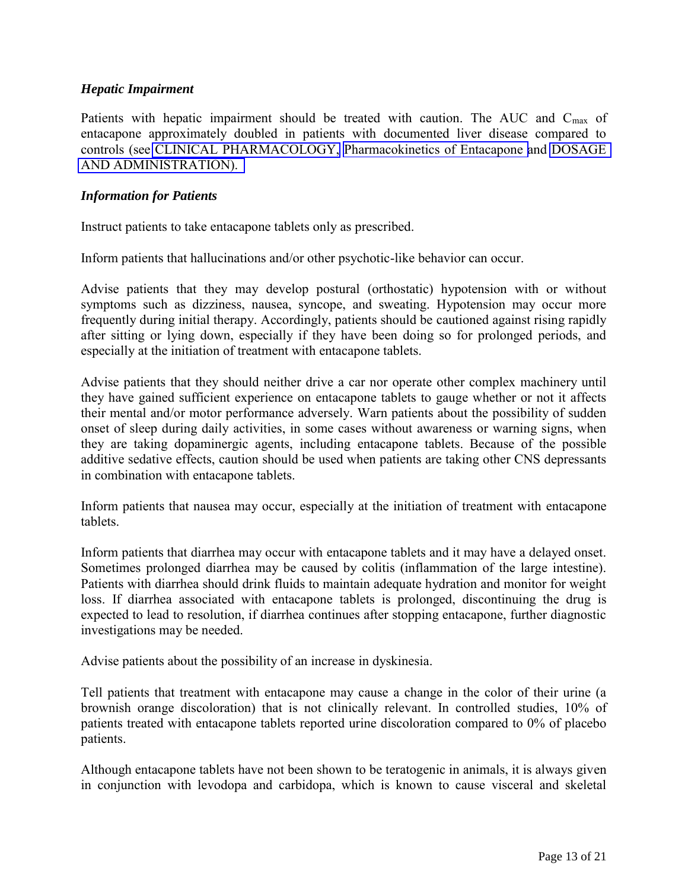#### *Hepatic Impairment*

Patients with hepatic impairment should be treated with caution. The AUC and C<sub>max</sub> of entacapone approximately doubled in patients with documented liver disease compared to controls (see [CLINICAL PHARMACOLOGY,](#page-0-1) [Pharmacokinetics of Entacapone a](#page-1-0)nd [DOSAGE](#page-19-0)  [AND ADMINISTRATION\).](#page-19-0)

#### *Information for Patients*

Instruct patients to take entacapone tablets only as prescribed.

Inform patients that hallucinations and/or other psychotic-like behavior can occur.

Advise patients that they may develop postural (orthostatic) hypotension with or without symptoms such as dizziness, nausea, syncope, and sweating. Hypotension may occur more frequently during initial therapy. Accordingly, patients should be cautioned against rising rapidly after sitting or lying down, especially if they have been doing so for prolonged periods, and especially at the initiation of treatment with entacapone tablets.

Advise patients that they should neither drive a car nor operate other complex machinery until they have gained sufficient experience on entacapone tablets to gauge whether or not it affects their mental and/or motor performance adversely. Warn patients about the possibility of sudden onset of sleep during daily activities, in some cases without awareness or warning signs, when they are taking dopaminergic agents, including entacapone tablets. Because of the possible additive sedative effects, caution should be used when patients are taking other CNS depressants in combination with entacapone tablets.

Inform patients that nausea may occur, especially at the initiation of treatment with entacapone tablets.

Inform patients that diarrhea may occur with entacapone tablets and it may have a delayed onset. Sometimes prolonged diarrhea may be caused by colitis (inflammation of the large intestine). Patients with diarrhea should drink fluids to maintain adequate hydration and monitor for weight loss. If diarrhea associated with entacapone tablets is prolonged, discontinuing the drug is expected to lead to resolution, if diarrhea continues after stopping entacapone, further diagnostic investigations may be needed.

Advise patients about the possibility of an increase in dyskinesia.

Tell patients that treatment with entacapone may cause a change in the color of their urine (a brownish orange discoloration) that is not clinically relevant. In controlled studies, 10% of patients treated with entacapone tablets reported urine discoloration compared to 0% of placebo patients.

Although entacapone tablets have not been shown to be teratogenic in animals, it is always given in conjunction with levodopa and carbidopa, which is known to cause visceral and skeletal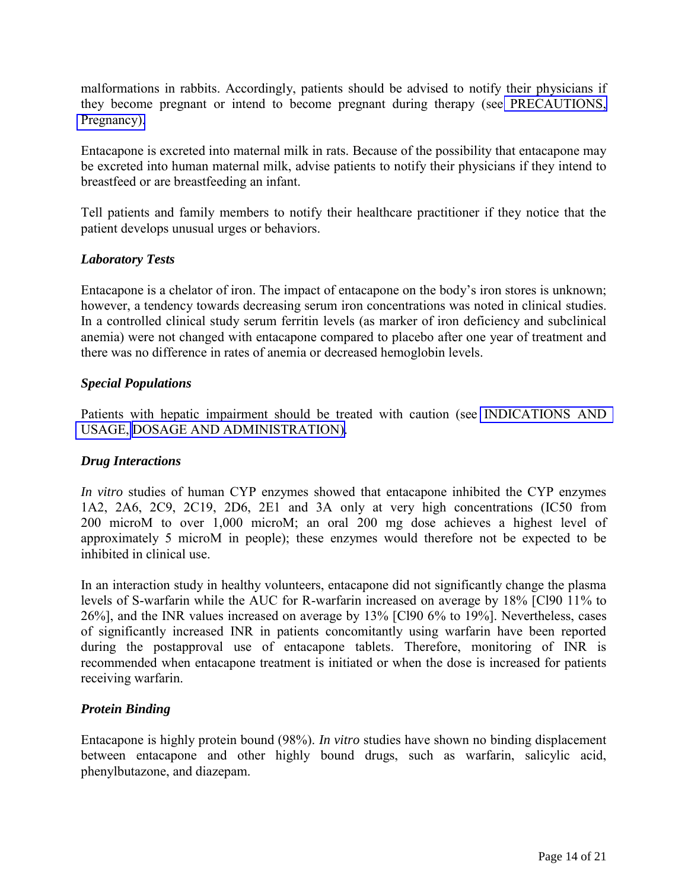<span id="page-13-0"></span>malformations in rabbits. Accordingly, patients should be advised to notify their physicians if they become pregnant or intend to become pregnant during therapy (see [PRECAUTIONS,](#page-8-2)  [Pregnancy\).](#page-15-0)

Entacapone is excreted into maternal milk in rats. Because of the possibility that entacapone may be excreted into human maternal milk, advise patients to notify their physicians if they intend to breastfeed or are breastfeeding an infant.

Tell patients and family members to notify their healthcare practitioner if they notice that the patient develops unusual urges or behaviors.

# *Laboratory Tests*

Entacapone is a chelator of iron. The impact of entacapone on the body's iron stores is unknown; however, a tendency towards decreasing serum iron concentrations was noted in clinical studies. In a controlled clinical study serum ferritin levels (as marker of iron deficiency and subclinical anemia) were not changed with entacapone compared to placebo after one year of treatment and there was no difference in rates of anemia or decreased hemoglobin levels.

### *Special Populations*

Patients with hepatic impairment should be treated with caution (see [INDICATIONS AND](#page-7-0)  [USAGE,](#page-7-1) [DOSAGE AND ADMINISTRATION\).](#page-19-0)

#### *Drug Interactions*

*In vitro* studies of human CYP enzymes showed that entacapone inhibited the CYP enzymes 1A2, 2A6, 2C9, 2C19, 2D6, 2E1 and 3A only at very high concentrations (IC50 from 200 microM to over 1,000 microM; an oral 200 mg dose achieves a highest level of approximately 5 microM in people); these enzymes would therefore not be expected to be inhibited in clinical use.

In an interaction study in healthy volunteers, entacapone did not significantly change the plasma levels of S-warfarin while the AUC for R-warfarin increased on average by 18% [Cl90 11% to 26%], and the INR values increased on average by 13% [Cl90 6% to 19%]. Nevertheless, cases of significantly increased INR in patients concomitantly using warfarin have been reported during the postapproval use of entacapone tablets. Therefore, monitoring of INR is recommended when entacapone treatment is initiated or when the dose is increased for patients receiving warfarin.

# *Protein Binding*

Entacapone is highly protein bound (98%). *In vitro* studies have shown no binding displacement between entacapone and other highly bound drugs, such as warfarin, salicylic acid, phenylbutazone, and diazepam.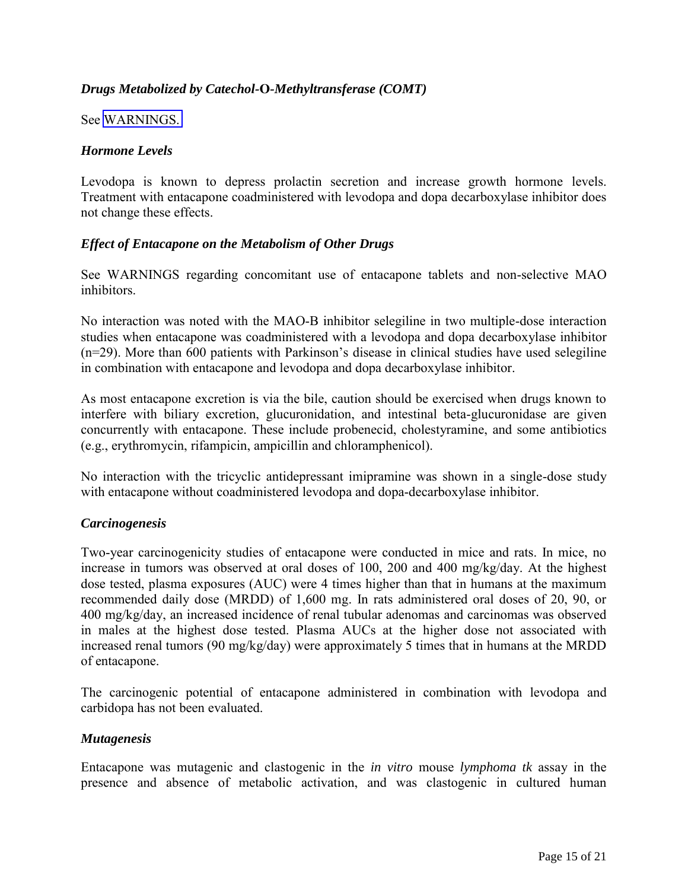# *Drugs Metabolized by Catechol-***O***-Methyltransferase (COMT)*

See [WARNINGS.](#page-7-0) 

#### *Hormone Levels*

Levodopa is known to depress prolactin secretion and increase growth hormone levels. Treatment with entacapone coadministered with levodopa and dopa decarboxylase inhibitor does not change these effects.

#### *Effect of Entacapone on the Metabolism of Other Drugs*

See WARNINGS regarding concomitant use of entacapone tablets and non-selective MAO inhibitors.

No interaction was noted with the MAO-B inhibitor selegiline in two multiple-dose interaction studies when entacapone was coadministered with a levodopa and dopa decarboxylase inhibitor (n=29). More than 600 patients with Parkinson's disease in clinical studies have used selegiline in combination with entacapone and levodopa and dopa decarboxylase inhibitor.

As most entacapone excretion is via the bile, caution should be exercised when drugs known to interfere with biliary excretion, glucuronidation, and intestinal beta-glucuronidase are given concurrently with entacapone. These include probenecid, cholestyramine, and some antibiotics (e.g., erythromycin, rifampicin, ampicillin and chloramphenicol).

No interaction with the tricyclic antidepressant imipramine was shown in a single-dose study with entacapone without coadministered levodopa and dopa-decarboxylase inhibitor.

#### *Carcinogenesis*

Two-year carcinogenicity studies of entacapone were conducted in mice and rats. In mice, no increase in tumors was observed at oral doses of 100, 200 and 400 mg/kg/day. At the highest dose tested, plasma exposures (AUC) were 4 times higher than that in humans at the maximum recommended daily dose (MRDD) of 1,600 mg. In rats administered oral doses of 20, 90, or 400 mg/kg/day, an increased incidence of renal tubular adenomas and carcinomas was observed in males at the highest dose tested. Plasma AUCs at the higher dose not associated with increased renal tumors (90 mg/kg/day) were approximately 5 times that in humans at the MRDD of entacapone.

The carcinogenic potential of entacapone administered in combination with levodopa and carbidopa has not been evaluated.

#### *Mutagenesis*

Entacapone was mutagenic and clastogenic in the *in vitro* mouse *lymphoma tk* assay in the presence and absence of metabolic activation, and was clastogenic in cultured human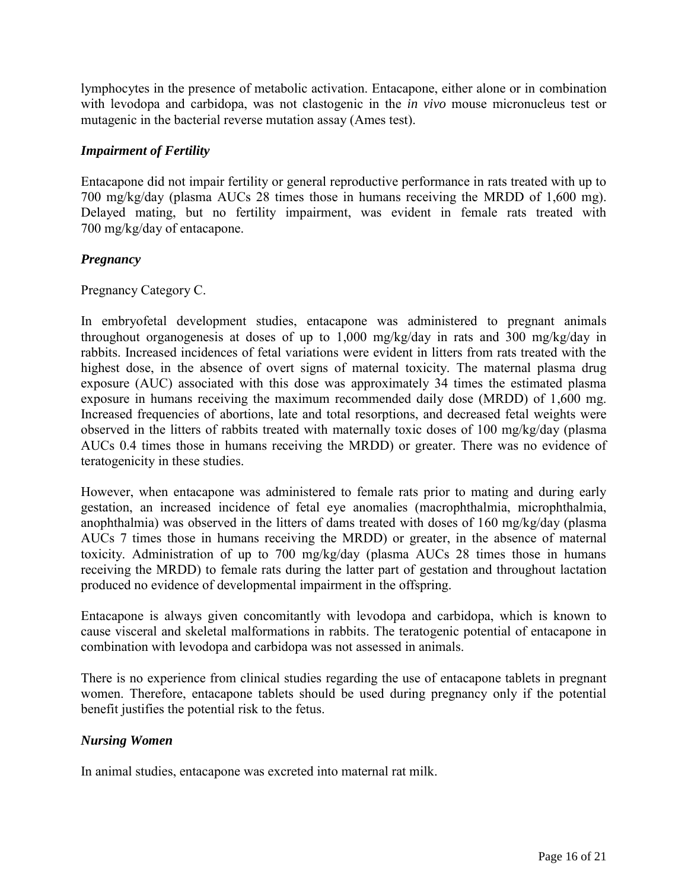<span id="page-15-0"></span>lymphocytes in the presence of metabolic activation. Entacapone, either alone or in combination with levodopa and carbidopa, was not clastogenic in the *in vivo* mouse micronucleus test or mutagenic in the bacterial reverse mutation assay (Ames test).

### *Impairment of Fertility*

Entacapone did not impair fertility or general reproductive performance in rats treated with up to 700 mg/kg/day (plasma AUCs 28 times those in humans receiving the MRDD of 1,600 mg). Delayed mating, but no fertility impairment, was evident in female rats treated with 700 mg/kg/day of entacapone.

### *Pregnancy*

Pregnancy Category C.

In embryofetal development studies, entacapone was administered to pregnant animals throughout organogenesis at doses of up to 1,000 mg/kg/day in rats and 300 mg/kg/day in rabbits. Increased incidences of fetal variations were evident in litters from rats treated with the highest dose, in the absence of overt signs of maternal toxicity. The maternal plasma drug exposure (AUC) associated with this dose was approximately 34 times the estimated plasma exposure in humans receiving the maximum recommended daily dose (MRDD) of 1,600 mg. Increased frequencies of abortions, late and total resorptions, and decreased fetal weights were observed in the litters of rabbits treated with maternally toxic doses of 100 mg/kg/day (plasma AUCs 0.4 times those in humans receiving the MRDD) or greater. There was no evidence of teratogenicity in these studies.

However, when entacapone was administered to female rats prior to mating and during early gestation, an increased incidence of fetal eye anomalies (macrophthalmia, microphthalmia, anophthalmia) was observed in the litters of dams treated with doses of 160 mg/kg/day (plasma AUCs 7 times those in humans receiving the MRDD) or greater, in the absence of maternal toxicity. Administration of up to 700 mg/kg/day (plasma AUCs 28 times those in humans receiving the MRDD) to female rats during the latter part of gestation and throughout lactation produced no evidence of developmental impairment in the offspring.

Entacapone is always given concomitantly with levodopa and carbidopa, which is known to cause visceral and skeletal malformations in rabbits. The teratogenic potential of entacapone in combination with levodopa and carbidopa was not assessed in animals.

There is no experience from clinical studies regarding the use of entacapone tablets in pregnant women. Therefore, entacapone tablets should be used during pregnancy only if the potential benefit justifies the potential risk to the fetus.

#### *Nursing Women*

In animal studies, entacapone was excreted into maternal rat milk.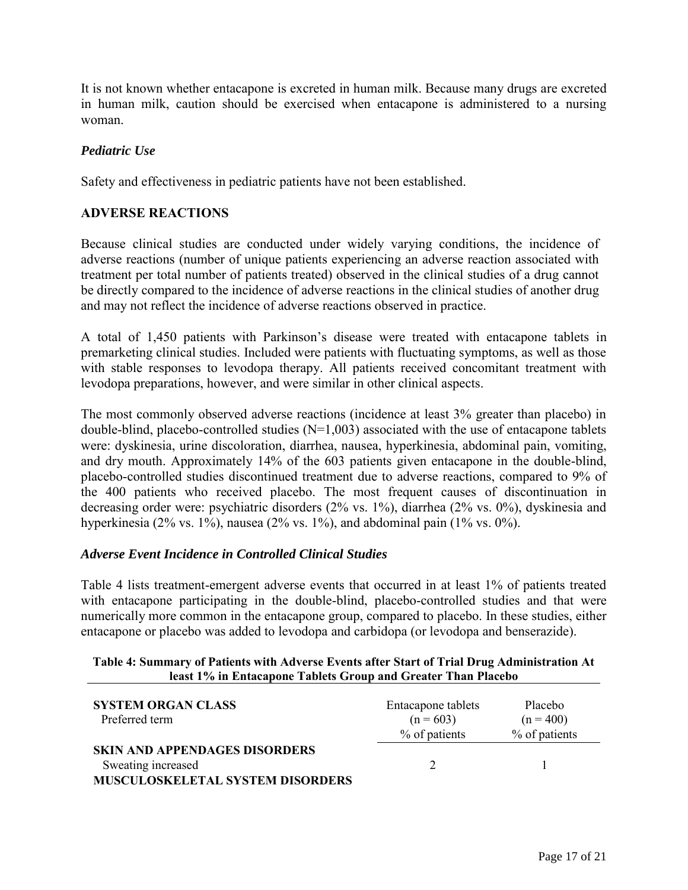It is not known whether entacapone is excreted in human milk. Because many drugs are excreted in human milk, caution should be exercised when entacapone is administered to a nursing woman.

### *Pediatric Use*

Safety and effectiveness in pediatric patients have not been established.

## **ADVERSE REACTIONS**

Because clinical studies are conducted under widely varying conditions, the incidence of adverse reactions (number of unique patients experiencing an adverse reaction associated with treatment per total number of patients treated) observed in the clinical studies of a drug cannot be directly compared to the incidence of adverse reactions in the clinical studies of another drug and may not reflect the incidence of adverse reactions observed in practice.

A total of 1,450 patients with Parkinson's disease were treated with entacapone tablets in premarketing clinical studies. Included were patients with fluctuating symptoms, as well as those with stable responses to levodopa therapy. All patients received concomitant treatment with levodopa preparations, however, and were similar in other clinical aspects.

The most commonly observed adverse reactions (incidence at least 3% greater than placebo) in double-blind, placebo-controlled studies  $(N=1,003)$  associated with the use of entacapone tablets were: dyskinesia, urine discoloration, diarrhea, nausea, hyperkinesia, abdominal pain, vomiting, and dry mouth. Approximately 14% of the 603 patients given entacapone in the double-blind, placebo-controlled studies discontinued treatment due to adverse reactions, compared to 9% of the 400 patients who received placebo. The most frequent causes of discontinuation in decreasing order were: psychiatric disorders (2% vs. 1%), diarrhea (2% vs. 0%), dyskinesia and hyperkinesia (2% vs. 1%), nausea (2% vs. 1%), and abdominal pain (1% vs. 0%).

#### *Adverse Event Incidence in Controlled Clinical Studies*

Table 4 lists treatment-emergent adverse events that occurred in at least 1% of patients treated with entacapone participating in the double-blind, placebo-controlled studies and that were numerically more common in the entacapone group, compared to placebo. In these studies, either entacapone or placebo was added to levodopa and carbidopa (or levodopa and benserazide).

#### **Table 4: Summary of Patients with Adverse Events after Start of Trial Drug Administration At least 1% in Entacapone Tablets Group and Greater Than Placebo**

| <b>SYSTEM ORGAN CLASS</b><br>Preferred term                                                           | Entacapone tablets<br>$(n = 603)$<br>% of patients | Placebo<br>$(n = 400)$<br>% of patients |
|-------------------------------------------------------------------------------------------------------|----------------------------------------------------|-----------------------------------------|
| <b>SKIN AND APPENDAGES DISORDERS</b><br>Sweating increased<br><b>MUSCULOSKELETAL SYSTEM DISORDERS</b> |                                                    |                                         |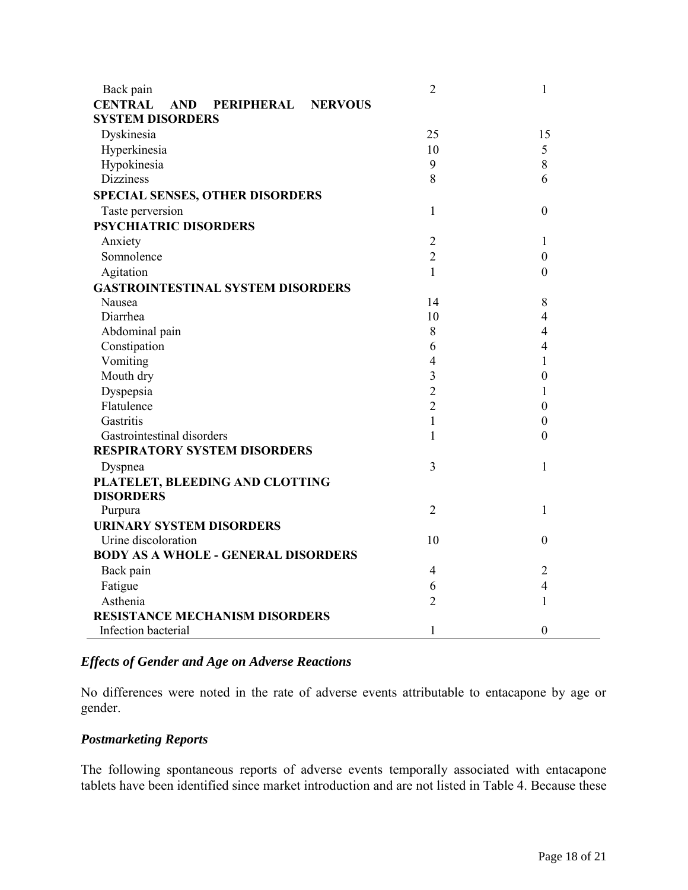| Back pain                                                           | $\overline{2}$ | $\mathbf{1}$     |
|---------------------------------------------------------------------|----------------|------------------|
| <b>CENTRAL</b><br><b>AND</b><br><b>PERIPHERAL</b><br><b>NERVOUS</b> |                |                  |
| <b>SYSTEM DISORDERS</b>                                             |                |                  |
| Dyskinesia                                                          | 25             | 15               |
| Hyperkinesia                                                        | 10             | 5                |
| Hypokinesia                                                         | 9              | 8                |
| <b>Dizziness</b>                                                    | 8              | 6                |
| <b>SPECIAL SENSES, OTHER DISORDERS</b>                              |                |                  |
| Taste perversion                                                    | $\mathbf{1}$   | $\boldsymbol{0}$ |
| <b>PSYCHIATRIC DISORDERS</b>                                        |                |                  |
| Anxiety                                                             | $\overline{2}$ | 1                |
| Somnolence                                                          | $\overline{2}$ | $\boldsymbol{0}$ |
| Agitation                                                           | $\mathbf{1}$   | $\boldsymbol{0}$ |
| <b>GASTROINTESTINAL SYSTEM DISORDERS</b>                            |                |                  |
| Nausea                                                              | 14             | $\,8\,$          |
| Diarrhea                                                            | 10             | 4                |
| Abdominal pain                                                      | 8              | 4                |
| Constipation                                                        | 6              | 4                |
| Vomiting                                                            | $\overline{4}$ | 1                |
| Mouth dry                                                           | 3              | $\boldsymbol{0}$ |
| Dyspepsia                                                           | $\overline{2}$ | 1                |
| Flatulence                                                          | $\overline{2}$ | $\boldsymbol{0}$ |
| Gastritis                                                           | $\mathbf{1}$   | $\boldsymbol{0}$ |
| Gastrointestinal disorders                                          | $\mathbf{1}$   | $\overline{0}$   |
| <b>RESPIRATORY SYSTEM DISORDERS</b>                                 |                |                  |
| Dyspnea                                                             | 3              | $\mathbf{1}$     |
| PLATELET, BLEEDING AND CLOTTING                                     |                |                  |
| <b>DISORDERS</b>                                                    |                |                  |
| Purpura                                                             | $\overline{2}$ | $\mathbf{1}$     |
| <b>URINARY SYSTEM DISORDERS</b>                                     |                |                  |
| Urine discoloration                                                 | 10             | $\boldsymbol{0}$ |
| <b>BODY AS A WHOLE - GENERAL DISORDERS</b>                          |                |                  |
| Back pain                                                           | $\overline{4}$ | $\overline{2}$   |
| Fatigue                                                             | 6              | $\overline{4}$   |
| Asthenia                                                            | $\overline{2}$ | $\mathbf{1}$     |
| <b>RESISTANCE MECHANISM DISORDERS</b>                               |                |                  |
| Infection bacterial                                                 | $\mathbf{1}$   | $\boldsymbol{0}$ |

# *Effects of Gender and Age on Adverse Reactions*

No differences were noted in the rate of adverse events attributable to entacapone by age or gender.

# *Postmarketing Reports*

The following spontaneous reports of adverse events temporally associated with entacapone tablets have been identified since market introduction and are not listed in Table 4. Because these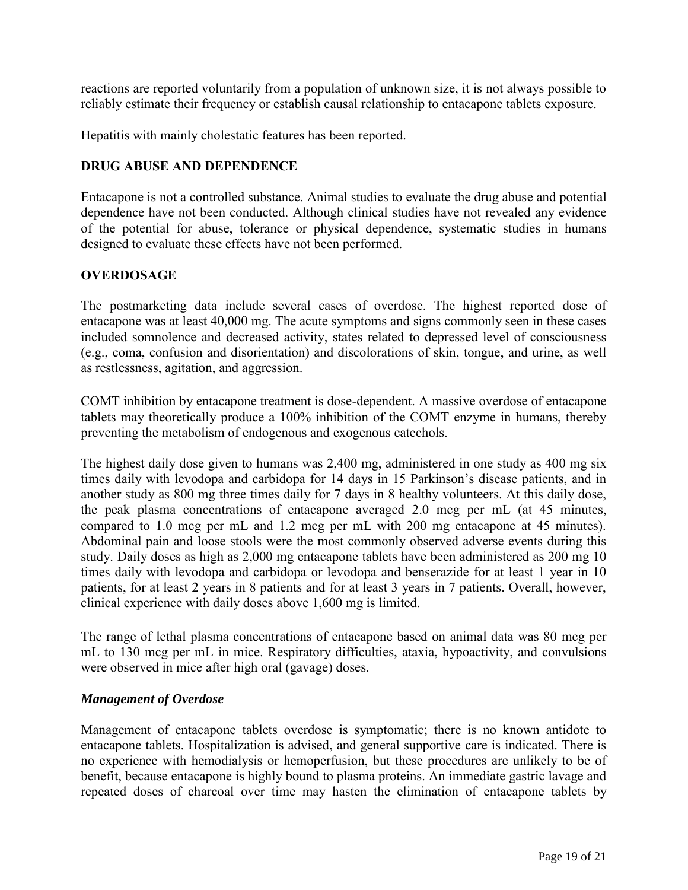reactions are reported voluntarily from a population of unknown size, it is not always possible to reliably estimate their frequency or establish causal relationship to entacapone tablets exposure.

Hepatitis with mainly cholestatic features has been reported.

### **DRUG ABUSE AND DEPENDENCE**

Entacapone is not a controlled substance. Animal studies to evaluate the drug abuse and potential dependence have not been conducted. Although clinical studies have not revealed any evidence of the potential for abuse, tolerance or physical dependence, systematic studies in humans designed to evaluate these effects have not been performed.

### **OVERDOSAGE**

The postmarketing data include several cases of overdose. The highest reported dose of entacapone was at least 40,000 mg. The acute symptoms and signs commonly seen in these cases included somnolence and decreased activity, states related to depressed level of consciousness (e.g., coma, confusion and disorientation) and discolorations of skin, tongue, and urine, as well as restlessness, agitation, and aggression.

COMT inhibition by entacapone treatment is dose-dependent. A massive overdose of entacapone tablets may theoretically produce a 100% inhibition of the COMT enzyme in humans, thereby preventing the metabolism of endogenous and exogenous catechols.

The highest daily dose given to humans was 2,400 mg, administered in one study as 400 mg six times daily with levodopa and carbidopa for 14 days in 15 Parkinson's disease patients, and in another study as 800 mg three times daily for 7 days in 8 healthy volunteers. At this daily dose, the peak plasma concentrations of entacapone averaged 2.0 mcg per mL (at 45 minutes, compared to 1.0 mcg per mL and 1.2 mcg per mL with 200 mg entacapone at 45 minutes). Abdominal pain and loose stools were the most commonly observed adverse events during this study. Daily doses as high as 2,000 mg entacapone tablets have been administered as 200 mg 10 times daily with levodopa and carbidopa or levodopa and benserazide for at least 1 year in 10 patients, for at least 2 years in 8 patients and for at least 3 years in 7 patients. Overall, however, clinical experience with daily doses above 1,600 mg is limited.

The range of lethal plasma concentrations of entacapone based on animal data was 80 mcg per mL to 130 mcg per mL in mice. Respiratory difficulties, ataxia, hypoactivity, and convulsions were observed in mice after high oral (gavage) doses.

#### *Management of Overdose*

Management of entacapone tablets overdose is symptomatic; there is no known antidote to entacapone tablets. Hospitalization is advised, and general supportive care is indicated. There is no experience with hemodialysis or hemoperfusion, but these procedures are unlikely to be of benefit, because entacapone is highly bound to plasma proteins. An immediate gastric lavage and repeated doses of charcoal over time may hasten the elimination of entacapone tablets by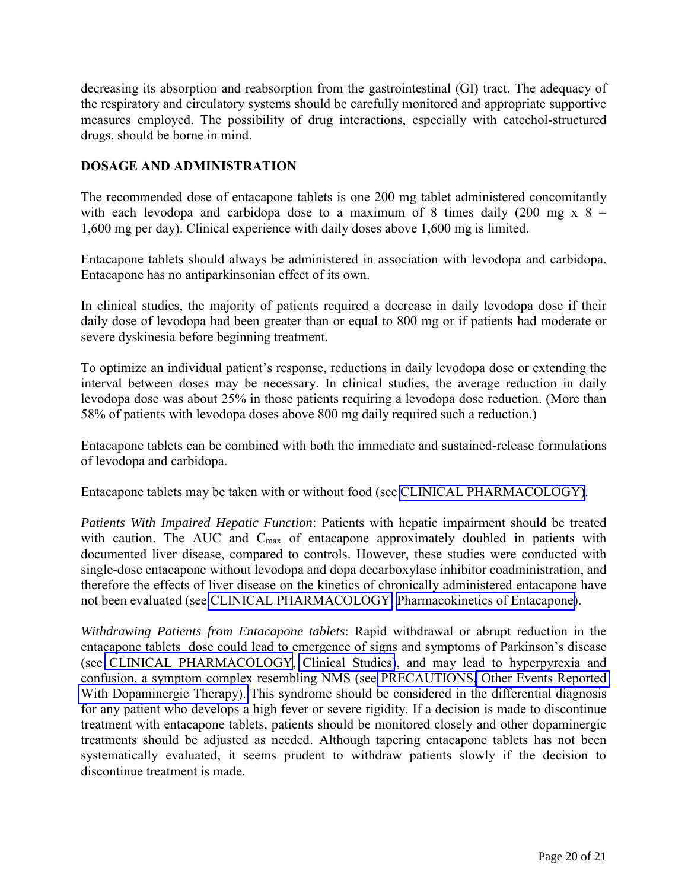<span id="page-19-1"></span><span id="page-19-0"></span>decreasing its absorption and reabsorption from the gastrointestinal (GI) tract. The adequacy of the respiratory and circulatory systems should be carefully monitored and appropriate supportive measures employed. The possibility of drug interactions, especially with catechol-structured drugs, should be borne in mind.

# **DOSAGE AND ADMINISTRATION**

The recommended dose of entacapone tablets is one 200 mg tablet administered concomitantly with each levodopa and carbidopa dose to a maximum of 8 times daily (200 mg x  $8 =$ 1,600 mg per day). Clinical experience with daily doses above 1,600 mg is limited.

Entacapone tablets should always be administered in association with levodopa and carbidopa. Entacapone has no antiparkinsonian effect of its own.

In clinical studies, the majority of patients required a decrease in daily levodopa dose if their daily dose of levodopa had been greater than or equal to 800 mg or if patients had moderate or severe dyskinesia before beginning treatment.

To optimize an individual patient's response, reductions in daily levodopa dose or extending the interval between doses may be necessary. In clinical studies, the average reduction in daily levodopa dose was about 25% in those patients requiring a levodopa dose reduction. (More than 58% of patients with levodopa doses above 800 mg daily required such a reduction.)

Entacapone tablets can be combined with both the immediate and sustained-release formulations of levodopa and carbidopa.

Entacapone tablets may be taken with or without food (see [CLINICAL PHARMACOLOGY\).](#page-0-2)

*Patients With Impaired Hepatic Function*: Patients with hepatic impairment should be treated with caution. The AUC and  $C_{\text{max}}$  of entacapone approximately doubled in patients with documented liver disease, compared to controls. However, these studies were conducted with single-dose entacapone without levodopa and dopa decarboxylase inhibitor coadministration, and therefore the effects of liver disease on the kinetics of chronically administered entacapone have not been evaluated (see [CLINICAL PHARMACOLOGY,](#page-0-2) [Pharmacokinetics of Entacapone\)](#page-1-1).

*Withdrawing Patients from Entacapone tablets*: Rapid withdrawal or abrupt reduction in the entacapone tablets dose could lead to emergence of signs and symptoms of Parkinson's disease (see [CLINICAL PHARMACOLOGY,](#page-0-0) [Clinical Studies\)](#page-2-1), and may lead to hyperpyrexia and confusion, a symptom complex resembling NMS (see [PRECAUTIONS,](#page-8-2) [Other Events Reported](#page-10-0)  [With Dopaminergic Therapy\).](#page-10-0) This syndrome should be considered in the differential diagnosis for any patient who develops a high fever or severe rigidity. If a decision is made to discontinue treatment with entacapone tablets, patients should be monitored closely and other dopaminergic treatments should be adjusted as needed. Although tapering entacapone tablets has not been systematically evaluated, it seems prudent to withdraw patients slowly if the decision to discontinue treatment is made.